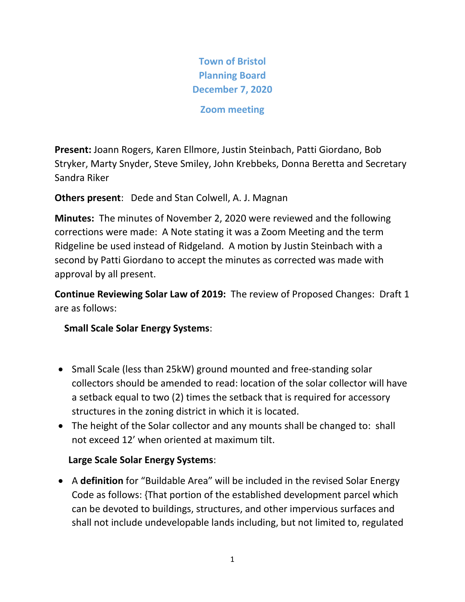**Town of Bristol Planning Board December 7, 2020**

**Zoom meeting**

**Present:** Joann Rogers, Karen Ellmore, Justin Steinbach, Patti Giordano, Bob Stryker, Marty Snyder, Steve Smiley, John Krebbeks, Donna Beretta and Secretary Sandra Riker

**Others present**: Dede and Stan Colwell, A. J. Magnan

**Minutes:** The minutes of November 2, 2020 were reviewed and the following corrections were made: A Note stating it was a Zoom Meeting and the term Ridgeline be used instead of Ridgeland. A motion by Justin Steinbach with a second by Patti Giordano to accept the minutes as corrected was made with approval by all present.

**Continue Reviewing Solar Law of 2019:** The review of Proposed Changes: Draft 1 are as follows:

 **Small Scale Solar Energy Systems**:

- Small Scale (less than 25kW) ground mounted and free-standing solar collectors should be amended to read: location of the solar collector will have a setback equal to two (2) times the setback that is required for accessory structures in the zoning district in which it is located.
- The height of the Solar collector and any mounts shall be changed to: shall not exceed 12' when oriented at maximum tilt.

# **Large Scale Solar Energy Systems**:

• A **definition** for "Buildable Area" will be included in the revised Solar Energy Code as follows: {That portion of the established development parcel which can be devoted to buildings, structures, and other impervious surfaces and shall not include undevelopable lands including, but not limited to, regulated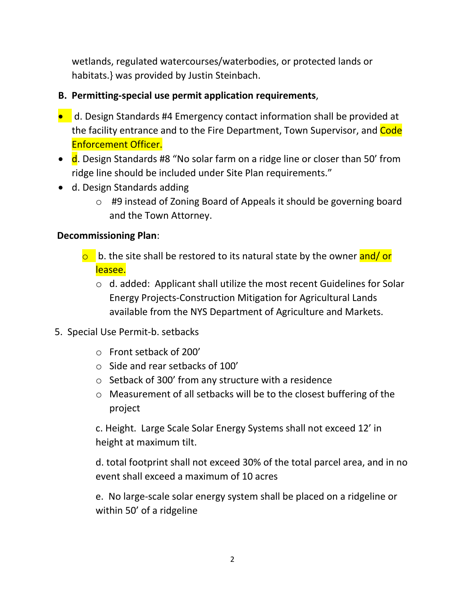wetlands, regulated watercourses/waterbodies, or protected lands or habitats.} was provided by Justin Steinbach.

#### **B. Permitting-special use permit application requirements**,

- d. Design Standards #4 Emergency contact information shall be provided at the facility entrance and to the Fire Department, Town Supervisor, and Code Enforcement Officer.
- d. Design Standards #8 "No solar farm on a ridge line or closer than 50' from ridge line should be included under Site Plan requirements."
- d. Design Standards adding
	- o #9 instead of Zoning Board of Appeals it should be governing board and the Town Attorney.

#### **Decommissioning Plan**:

- $\circ$  b. the site shall be restored to its natural state by the owner and/or leasee.
	- o d. added: Applicant shall utilize the most recent Guidelines for Solar Energy Projects-Construction Mitigation for Agricultural Lands available from the NYS Department of Agriculture and Markets.
- 5. Special Use Permit-b. setbacks
	- o Front setback of 200'
	- o Side and rear setbacks of 100'
	- o Setback of 300' from any structure with a residence
	- o Measurement of all setbacks will be to the closest buffering of the project

c. Height. Large Scale Solar Energy Systems shall not exceed 12' in height at maximum tilt.

d. total footprint shall not exceed 30% of the total parcel area, and in no event shall exceed a maximum of 10 acres

e. No large-scale solar energy system shall be placed on a ridgeline or within 50' of a ridgeline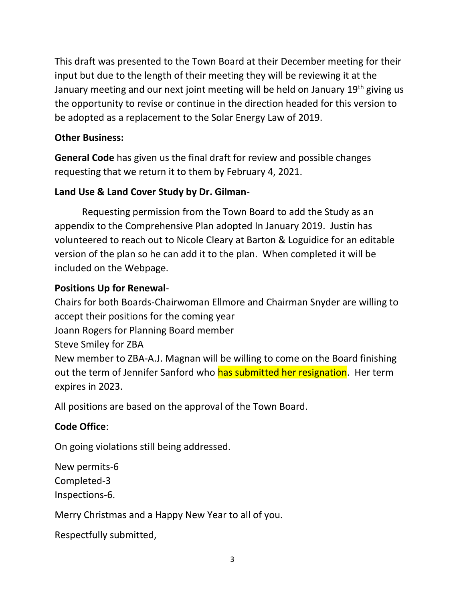This draft was presented to the Town Board at their December meeting for their input but due to the length of their meeting they will be reviewing it at the January meeting and our next joint meeting will be held on January 19<sup>th</sup> giving us the opportunity to revise or continue in the direction headed for this version to be adopted as a replacement to the Solar Energy Law of 2019.

#### **Other Business:**

**General Code** has given us the final draft for review and possible changes requesting that we return it to them by February 4, 2021.

## **Land Use & Land Cover Study by Dr. Gilman**-

Requesting permission from the Town Board to add the Study as an appendix to the Comprehensive Plan adopted In January 2019. Justin has volunteered to reach out to Nicole Cleary at Barton & Loguidice for an editable version of the plan so he can add it to the plan. When completed it will be included on the Webpage.

## **Positions Up for Renewal**-

Chairs for both Boards-Chairwoman Ellmore and Chairman Snyder are willing to accept their positions for the coming year

Joann Rogers for Planning Board member

Steve Smiley for ZBA

New member to ZBA-A.J. Magnan will be willing to come on the Board finishing out the term of Jennifer Sanford who has submitted her resignation. Her term expires in 2023.

All positions are based on the approval of the Town Board.

#### **Code Office**:

On going violations still being addressed.

New permits-6

Completed-3

Inspections-6.

Merry Christmas and a Happy New Year to all of you.

Respectfully submitted,